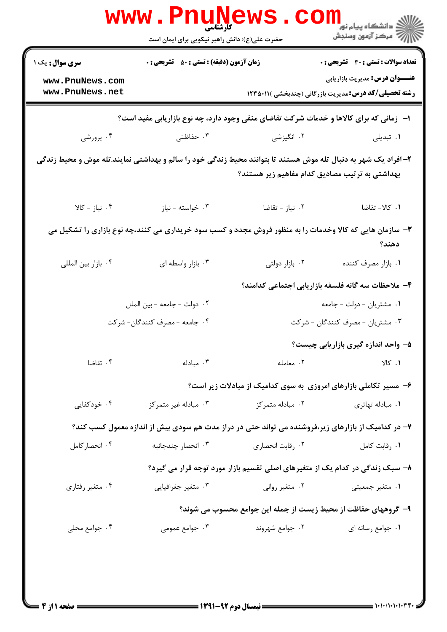| <b>تعداد سوالات : تستي : 30 ٪ تشريحي : 0</b>                                                                     |                                                                                          | <b>زمان آزمون (دقیقه) : تستی : 50 ٪ تشریحی : 0</b> | <b>سری سوال :</b> یک ۱                                                                                         |  |  |
|------------------------------------------------------------------------------------------------------------------|------------------------------------------------------------------------------------------|----------------------------------------------------|----------------------------------------------------------------------------------------------------------------|--|--|
| <b>عنـــوان درس:</b> مدیریت بازاریابی                                                                            |                                                                                          |                                                    | www.PnuNews.com<br>www.PnuNews.net                                                                             |  |  |
| <b>رشته تحصیلی/کد درس:</b> مدیریت بازرگانی (چندبخشی )۲۳۵۰۱۱ (                                                    |                                                                                          |                                                    |                                                                                                                |  |  |
|                                                                                                                  | ا-   زمانی که برای کالاها و خدمات شرکت تقاضای منفی وجود دارد، چه نوع بازاریابی مفید است؟ |                                                    |                                                                                                                |  |  |
| ۰۱ تبدیلی                                                                                                        | ۰۲ انگیزشی                                                                               | ۰۳ حفاظتی                                          | ۰۴ پرورشی                                                                                                      |  |  |
|                                                                                                                  | بهداشتی به ترتیب مصادیق کدام مفاهیم زیر هستند؟                                           |                                                    | ۲– افراد یک شهر به دنبال تله موش هستند تا بتوانند محیط زندگی خود را سالم و بهداشتی نمایند.تله موش و محیط زندگی |  |  |
| ٠١ كالا- تقاضا                                                                                                   | ۰۲ نیاز - تقاضا                                                                          | ۰۳ خواسته - نياز                                   | ۰۴ نیاز - کالا                                                                                                 |  |  |
| ۳- سازمان هایی که کالا وخدمات را به منظور فروش مجدد و کسب سود خریداری می کنند،چه نوع بازاری را تشکیل می<br>دهند؟ |                                                                                          |                                                    |                                                                                                                |  |  |
| ٠١. بازار مصرف كننده                                                                                             | ۰۲ بازار دولتی                                                                           | ۰۳ بازار واسطه ای                                  | ۰۴ بازار بين المللي                                                                                            |  |  |
|                                                                                                                  | ۴– ملاحظات سه گانه فلسفه بازاریابی اجتماعی کدامند؟                                       |                                                    |                                                                                                                |  |  |
| ۰۱ مشتریان - دولت - جامعه                                                                                        |                                                                                          | ٠٢ دولت - جامعه - بين الملل                        |                                                                                                                |  |  |
| ۰۳ مشتریان - مصرف کنندگان - شرکت                                                                                 |                                                                                          | ۰۴ جامعه - مصرف کنندگان- شرکت                      |                                                                                                                |  |  |
| ۵- واحد اندازه گیری بازاریابی چیست؟                                                                              |                                                                                          |                                                    |                                                                                                                |  |  |
| $V S$ . $V$                                                                                                      | ٠٢ معامله                                                                                | ۰۳ مبادله                                          | ۰۴ تقاضا                                                                                                       |  |  |
|                                                                                                                  | ۶- مسیر تکاملی بازارهای امروزی به سوی کدامیک از مبادلات زیر است؟                         |                                                    |                                                                                                                |  |  |
| ۰۱ مبادله تهاتری                                                                                                 | ۰۲ مبادله متمرکز                                                                         | ۰۳ مبادله غیر متمرکز                               | ۰۴ خودکفایی                                                                                                    |  |  |
| ۷– در کدامیک از بازارهای زیر،فروشنده می تواند حتی در دراز مدت هم سودی بیش از اندازه معمول کسب کند؟               |                                                                                          |                                                    |                                                                                                                |  |  |
| ٠١. رقابت كامل                                                                                                   | ۰۲ رقابت انحصاری                                                                         | ۰۳ انحصار چندجانبه                                 | ۰۴ انحصار کامل                                                                                                 |  |  |
|                                                                                                                  | ۸– سبک زندگی در کدام یک از متغیرهای اصلی تقسیم بازار مورد توجه قرار می گیرد؟             |                                                    |                                                                                                                |  |  |
| ۰۱ متغیر جمعیتی                                                                                                  | ۰۲ متغیر روانی                                                                           | ۰۳ متغیر جغرافیایی                                 | ۰۴ متغیر رفتاری                                                                                                |  |  |
|                                                                                                                  | ۹- گروههای حفاظت از محیط زیست از جمله این جوامع محسوب می شوند؟                           |                                                    |                                                                                                                |  |  |
| ٠١. جوامع رسانه اي                                                                                               | ۰۲ جوامع شهروند                                                                          | ۰۳ جوامع عمومی                                     | ۰۴ جوامع محلی                                                                                                  |  |  |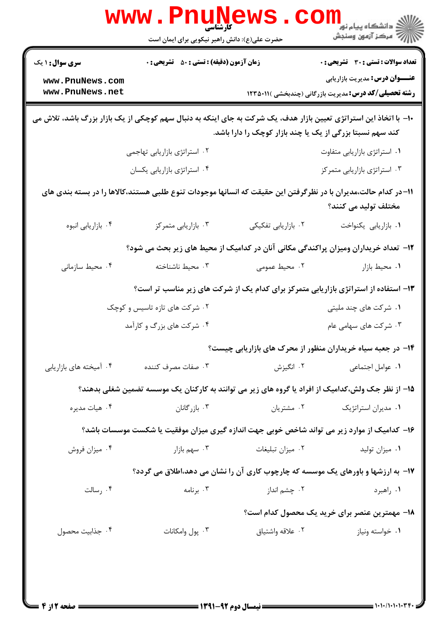| <b>تعداد سوالات : تستی : 30 ٪ تشریحی : 0</b>                                                                                                                                   |                                                                                                   | <b>زمان آزمون (دقیقه) : تستی : 50 ٪ تشریحی : 0</b> |                         |  |  |  |
|--------------------------------------------------------------------------------------------------------------------------------------------------------------------------------|---------------------------------------------------------------------------------------------------|----------------------------------------------------|-------------------------|--|--|--|
| <b>عنـــوان درس:</b> مدیریت بازاریابی                                                                                                                                          |                                                                                                   |                                                    | www.PnuNews.com         |  |  |  |
| <b>رشته تحصیلی/کد درس:</b> مدیریت بازرگانی (چندبخشی ) <b>۱۲۲۵۰۱۱</b>                                                                                                           |                                                                                                   |                                                    | www.PnuNews.net         |  |  |  |
| ∙۱- با اتخاذ این استراتژی تعیین بازار هدف، یک شرکت به جای اینکه به دنبال سهم کوچکی از یک بازار بزرگ باشد، تلاش می<br>کند سهم نسبتا بزرگی از یک یا چند بازار کوچک را دارا باشد. |                                                                                                   |                                                    |                         |  |  |  |
| ۰۱ استراتژی بازاریابی متفاوت                                                                                                                                                   |                                                                                                   | ۰۲ استراتژی بازاریابی تهاجمی                       |                         |  |  |  |
| ۰۳ استراتژی بازاریابی متمرکز                                                                                                                                                   |                                                                                                   | ۰۴ استراتژی بازاریابی یکسان                        |                         |  |  |  |
| 1۱–در کدام حالت،مدیران با در نظرگرفتن این حقیقت که انسانها موجودات تنوع طلبی هستند،کالاها را در بسته بندی های<br>مختلف توليد مي كنند؟                                          |                                                                                                   |                                                    |                         |  |  |  |
| ٠١. بازاريابي يكنواخت                                                                                                                                                          | ٠٢ بازاريابي تفكيكي                                                                               | ۰۳ بازاریابی متمرکز                                | ۰۴ بازاریابی انبوه      |  |  |  |
|                                                                                                                                                                                | ۱۲- تعداد خریداران ومیزان پراکندگی مکانی آنان در کدامیک از محیط های زیر بحث می شود؟               |                                                    |                         |  |  |  |
| ٠١ محيط بازار                                                                                                                                                                  | ۰۲ محیط عمومی                                                                                     | ۰۳ محیط ناشناخته                                   | ۰۴ محیط سازمانی         |  |  |  |
| ۱۳- استفاده از استراتژی بازاریابی متمرکز برای کدام یک از شرکت های زیر مناسب تر است؟                                                                                            |                                                                                                   |                                                    |                         |  |  |  |
| ۰۱ شرکت های چند ملیتی                                                                                                                                                          |                                                                                                   | ۰۲ شرکت های تازه تاسیس و کوچک                      |                         |  |  |  |
| ۰۳ شرکت های سهامی عام                                                                                                                                                          |                                                                                                   | ۰۴ شرکت های بزرگ و کارآمد                          |                         |  |  |  |
| ۱۴- در جعبه سیاه خریداران منظور از محرک های بازاریابی چیست؟                                                                                                                    |                                                                                                   |                                                    |                         |  |  |  |
| ٠١. عوامل اجتماعي                                                                                                                                                              | ۰۲ انگیزش                                                                                         | ۰۳ صفات مصرف کننده                                 | ۰۴ آمیخته های بازاریابی |  |  |  |
|                                                                                                                                                                                | ۱۵– از نظر جک ولش،کدامیک از افراد یا گروه های زیر می توانند به کارکنان یک موسسه تضمین شغلی بدهند؟ |                                                    |                         |  |  |  |
| ۰۱ مدیران استراتژیک                                                                                                                                                            | ۰۲ مشتریان                                                                                        | ۰۳ بازرگانان                                       | ۰۴ هیات مدیره           |  |  |  |
| ۱۶– کدامیک از موارد زیر می تواند شاخص خوبی جهت اندازه گیری میزان موفقیت یا شکست موسسات باشد؟                                                                                   |                                                                                                   |                                                    |                         |  |  |  |
| ۰۱ میزان تولید                                                                                                                                                                 | ۰۲ میزان تبلیغات                                                                                  | ۰۳ سهم بازار                                       | ۰۴ میزان فروش           |  |  |  |
| ۱۷- به ارزشها و باورهای یک موسسه که چارچوب کاری آن را نشان می دهد،اطلاق می گردد؟                                                                                               |                                                                                                   |                                                    |                         |  |  |  |
| ۰۱ راهبرد                                                                                                                                                                      | ۰۲ چشم انداز                                                                                      | ۰۳ برنامه                                          | ۰۴ رسالت                |  |  |  |
| ۱۸− مهمترین عنصر برای خرید یک محصول کدام است؟                                                                                                                                  |                                                                                                   |                                                    |                         |  |  |  |
| ۰۱ خواسته ونياز                                                                                                                                                                | ۰۲ علاقه واشتياق                                                                                  | ۰۳ پول وامکانات                                    | ۰۴ جذابيت محصول         |  |  |  |

 $= 1 - 1 - 1 - 1 - 1 - 1$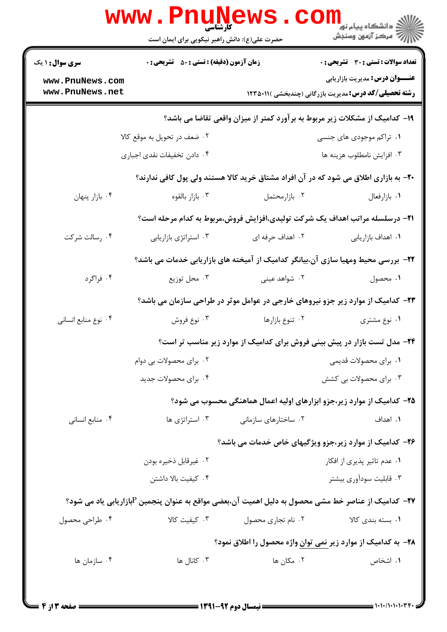| الار دانشگاه پيام نور<br>الاراض<br>\  الا                                                                |                                                                                     | حضرت علی(ع): دانش راهبر نیکویی برای ایمان است                                                       |                                    |  |  |
|----------------------------------------------------------------------------------------------------------|-------------------------------------------------------------------------------------|-----------------------------------------------------------------------------------------------------|------------------------------------|--|--|
| <b>تعداد سوالات : تستی : 30 ٪ تشریحی : 0</b>                                                             |                                                                                     | <b>زمان آزمون (دقیقه) : تستی : 50 ٪ تشریحی : 0</b>                                                  | <b>سری سوال : ۱ یک</b>             |  |  |
| <b>عنــــوان درس:</b> مدیریت بازاریابی<br><b>رشته تحصیلی/کد درس:</b> مدیریت بازرگانی (چندبخشی )۱۲۳۵۰۱۱ ( |                                                                                     |                                                                                                     | www.PnuNews.com<br>www.PnuNews.net |  |  |
|                                                                                                          | ۱۹- کدامیک از مشکلات زیر مربوط به برآورد کمتر از میزان واقعی تقاضا می باشد؟         |                                                                                                     |                                    |  |  |
| ۰۱ تراکم موجودی های جنسی                                                                                 |                                                                                     | ۲. ضعف در تحویل به موقع کالا                                                                        |                                    |  |  |
| ۰۳ افزايش نامطلوب هزينه ها                                                                               |                                                                                     | ۰۴ دادن تخفیفات نقدی اجباری                                                                         |                                    |  |  |
|                                                                                                          |                                                                                     | ۲۰- به بازاری اطلاق می شود که در آن افراد مشتاق خرید کالا هستند ولی پول کافی ندارند؟                |                                    |  |  |
| ٠١. بازارفعال                                                                                            | ۰۲ بازارمحتمل                                                                       | ۰۳ بازار بالقوه                                                                                     | ۰۴ بازار پنهان                     |  |  |
|                                                                                                          | <b>۲۱</b> - درسلسله مراتب اهداف یک شرکت تولیدی،افزایش فروش،مربوط به کدام مرحله است؟ |                                                                                                     |                                    |  |  |
| ٠١. اهداف بازاريابي                                                                                      | ۲. اهداف حرفه ای                                                                    | ۰۳ استراتژی بازاریابی                                                                               | ۰۴ رسالت شرکت                      |  |  |
|                                                                                                          |                                                                                     | ۲۲- بررسی محیط ومهیا سازی آن،بیانگر کدامیک از آمیخته های بازاریابی خدمات می باشد؟                   |                                    |  |  |
| ۰۱ محصول                                                                                                 | ۰۲ شواهد عینی                                                                       | ۰۳ محل توزیع                                                                                        | ۰۴ فراگرد                          |  |  |
|                                                                                                          | ۲۳- کدامیک از موارد زیر جزو نیروهای خارجی در عوامل موثر در طراحی سازمان می باشد؟    |                                                                                                     |                                    |  |  |
| ۰۱ نوع مشتری                                                                                             | ۰۲ تنوع بازارها                                                                     | ۰۳ نوع فروش                                                                                         | ۰۴ نوع منابع انساني                |  |  |
|                                                                                                          | ۲۴- مدل تست بازار در پیش بینی فروش برای کدامیک از موارد زیر مناسب تر است؟           |                                                                                                     |                                    |  |  |
| ۰۱ برای محصولات قدیمی                                                                                    |                                                                                     | ۰۲ برای محصولات بی دوام                                                                             |                                    |  |  |
| ۰۳ برای محصولات بی کشش                                                                                   |                                                                                     | ۰۴ برای محصولات جدید                                                                                |                                    |  |  |
|                                                                                                          | ۲۵– کدامیک از موارد زیر،جزو ابزارهای اولیه اعمال هماهنگی محسوب می شود؟              |                                                                                                     |                                    |  |  |
| ۰۱ اهداف                                                                                                 | ۰۲ ساختارهای سازمانی                                                                | ۰۳ استراتژی ها                                                                                      | ۰۴ منابع انسانی                    |  |  |
|                                                                                                          | ۲۶– کدامیک از موارد زیر،جزو ویژگیهای خاص خدمات می باشد؟                             |                                                                                                     |                                    |  |  |
| ۰۱ عدم تاثیر پذیری از افکار                                                                              |                                                                                     | ۰۲ غیرقابل ذخیره بودن                                                                               |                                    |  |  |
| ۰۳ قابلیت سودآوری بیشتر                                                                                  |                                                                                     | ۰۴ کیفیت بالا داشتن                                                                                 |                                    |  |  |
|                                                                                                          |                                                                                     | ۲۷− کدامیک از عناصر خط مشی محصول به دلیل اهمیت آن،بعضی مواقع به عنوان پنجمین Pبازاریابی یاد می شود؟ |                                    |  |  |
| ۰۱ بسته بندی کالا                                                                                        | ۰۲ نام تجاری محصول                                                                  | ۰۳ کیفیت کالا                                                                                       | ۰۴ طراحی محصول                     |  |  |
|                                                                                                          | ۲۸– به کدامیک از موارد زیر نمی توان واژه محصول را اطلاق نمود؟                       |                                                                                                     |                                    |  |  |
| ۰۱ اشخاص                                                                                                 | ۰۲ مکان ها                                                                          | ۰۳ کانال ها                                                                                         | ۰۴ سازمان ها                       |  |  |

**= نیمسال دوم ۹۲-۱۳۹۱ <del>-</del>**